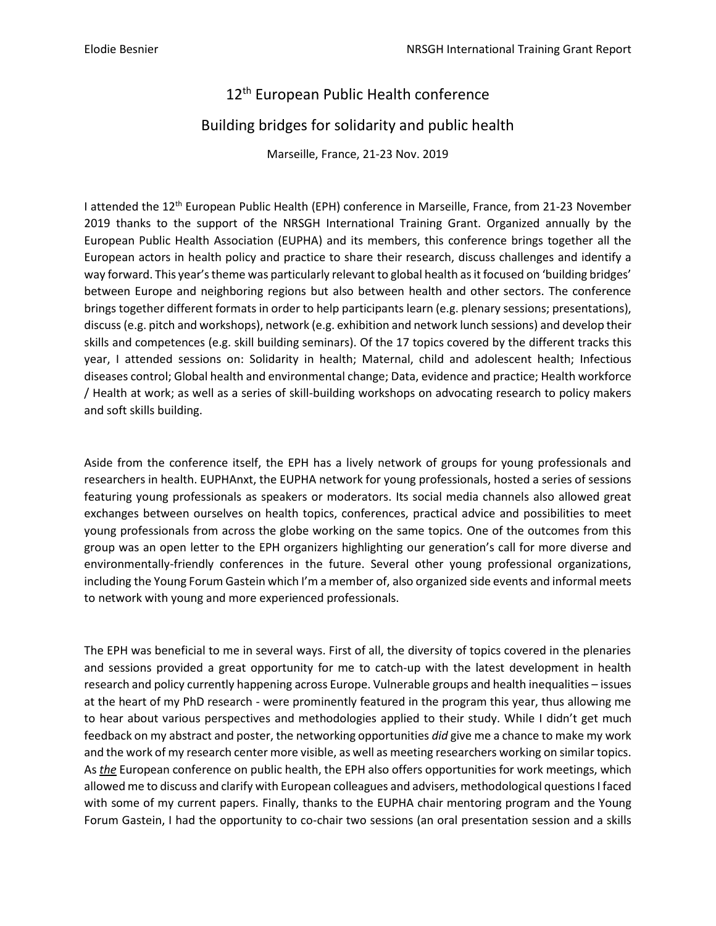## 12<sup>th</sup> European Public Health conference

## Building bridges for solidarity and public health

Marseille, France, 21-23 Nov. 2019

I attended the 12<sup>th</sup> European Public Health (EPH) conference in Marseille, France, from 21-23 November 2019 thanks to the support of the NRSGH International Training Grant. Organized annually by the European Public Health Association (EUPHA) and its members, this conference brings together all the European actors in health policy and practice to share their research, discuss challenges and identify a way forward. This year's theme was particularly relevant to global health as it focused on 'building bridges' between Europe and neighboring regions but also between health and other sectors. The conference brings together different formats in order to help participants learn (e.g. plenary sessions; presentations), discuss (e.g. pitch and workshops), network (e.g. exhibition and network lunch sessions) and develop their skills and competences (e.g. skill building seminars). Of the 17 topics covered by the different tracks this year, I attended sessions on: Solidarity in health; Maternal, child and adolescent health; Infectious diseases control; Global health and environmental change; Data, evidence and practice; Health workforce / Health at work; as well as a series of skill-building workshops on advocating research to policy makers and soft skills building.

Aside from the conference itself, the EPH has a lively network of groups for young professionals and researchers in health. EUPHAnxt, the EUPHA network for young professionals, hosted a series of sessions featuring young professionals as speakers or moderators. Its social media channels also allowed great exchanges between ourselves on health topics, conferences, practical advice and possibilities to meet young professionals from across the globe working on the same topics. One of the outcomes from this group was an open letter to the EPH organizers highlighting our generation's call for more diverse and environmentally-friendly conferences in the future. Several other young professional organizations, including the Young Forum Gastein which I'm a member of, also organized side events and informal meets to network with young and more experienced professionals.

The EPH was beneficial to me in several ways. First of all, the diversity of topics covered in the plenaries and sessions provided a great opportunity for me to catch-up with the latest development in health research and policy currently happening across Europe. Vulnerable groups and health inequalities – issues at the heart of my PhD research - were prominently featured in the program this year, thus allowing me to hear about various perspectives and methodologies applied to their study. While I didn't get much feedback on my abstract and poster, the networking opportunities *did* give me a chance to make my work and the work of my research center more visible, as well as meeting researchers working on similar topics. As *the* European conference on public health, the EPH also offers opportunities for work meetings, which allowed me to discuss and clarify with European colleagues and advisers, methodological questions I faced with some of my current papers. Finally, thanks to the EUPHA chair mentoring program and the Young Forum Gastein, I had the opportunity to co-chair two sessions (an oral presentation session and a skills